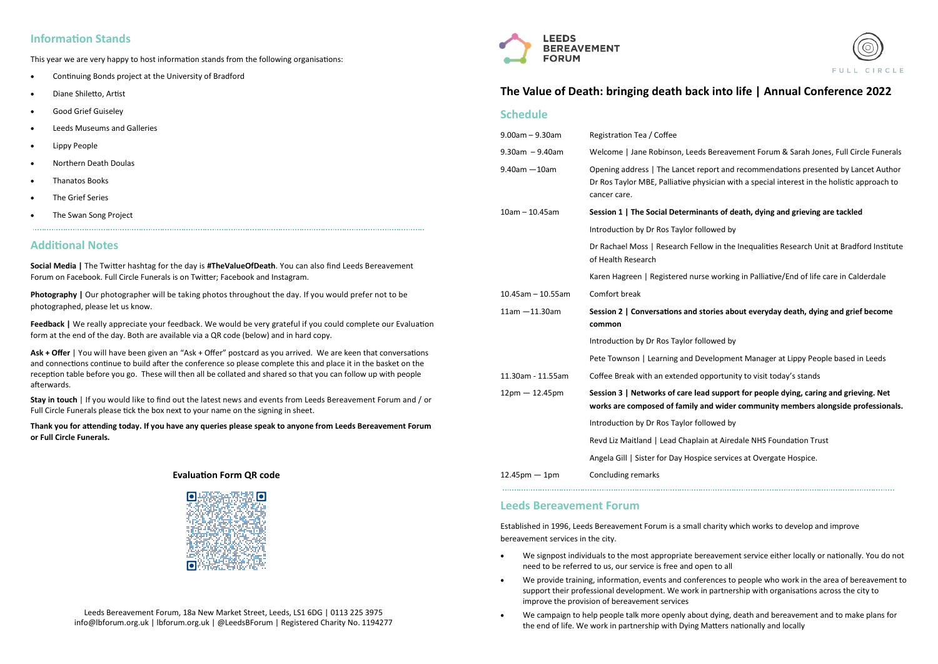# **Information Stands**

This year we are very happy to host information stands from the following organisations:

- Continuing Bonds project at the University of Bradford
- Diane Shiletto, Artist
- Good Grief Guiseley
- Leeds Museums and Galleries
- Lippy People
- Northern Death Doulas
- Thanatos Books
- The Grief Series
- The Swan Song Project

# **Additional Notes**

**Social Media |** The Twitter hashtag for the day is **#TheValueOfDeath**. You can also find Leeds Bereavement Forum on Facebook. Full Circle Funerals is on Twitter; Facebook and Instagram.

**Photography |** Our photographer will be taking photos throughout the day. If you would prefer not to be photographed, please let us know.

**Feedback |** We really appreciate your feedback. We would be very grateful if you could complete our Evaluation form at the end of the day. Both are available via a QR code (below) and in hard copy.

**Ask + Offer** | You will have been given an "Ask + Offer" postcard as you arrived. We are keen that conversations and connections continue to build after the conference so please complete this and place it in the basket on the reception table before you go. These will then all be collated and shared so that you can follow up with people afterwards.

**Stay in touch** | If you would like to find out the latest news and events from Leeds Bereavement Forum and / or Full Circle Funerals please tick the box next to your name on the signing in sheet.

**Thank you for attending today. If you have any queries please speak to anyone from Leeds Bereavement Forum or Full Circle Funerals.**

> Leeds Bereavement Forum, 18a New Market Street, Leeds, LS1 6DG | 0113 225 3975 info@lbforum.org.uk | lbforum.org.uk | @LeedsBForum | Registered Charity No. 1194277



#### **Evaluation Form QR code**



# **The Value of Death: bringing death back into life | Annual Conference 2022**

# **Schedule**

| $9.00am - 9.30am$    | Registration Tea / Coffee                                                                                                                                                                         |
|----------------------|---------------------------------------------------------------------------------------------------------------------------------------------------------------------------------------------------|
| $9.30am - 9.40am$    | Welcome   Jane Robinson, Leeds Bereavement Forum & Sarah Jones, Full Circle Funerals                                                                                                              |
| $9.40$ am $-10$ am   | Opening address   The Lancet report and recommendations presented by Lancet Author<br>Dr Ros Taylor MBE, Palliative physician with a special interest in the holistic approach to<br>cancer care. |
| $10am - 10.45am$     | Session 1   The Social Determinants of death, dying and grieving are tackled                                                                                                                      |
|                      | Introduction by Dr Ros Taylor followed by                                                                                                                                                         |
|                      | Dr Rachael Moss   Research Fellow in the Inequalities Research Unit at Bradford Institute<br>of Health Research                                                                                   |
|                      | Karen Hagreen   Registered nurse working in Palliative/End of life care in Calderdale                                                                                                             |
| $10.45$ am - 10.55am | Comfort break                                                                                                                                                                                     |
| $11am - 11.30am$     | Session 2   Conversations and stories about everyday death, dying and grief become<br>common                                                                                                      |
|                      | Introduction by Dr Ros Taylor followed by                                                                                                                                                         |
|                      | Pete Townson   Learning and Development Manager at Lippy People based in Leeds                                                                                                                    |
| 11.30am - 11.55am    | Coffee Break with an extended opportunity to visit today's stands                                                                                                                                 |
| $12pm - 12.45pm$     | Session 3   Networks of care lead support for people dying, caring and grieving. Net<br>works are composed of family and wider community members alongside professionals.                         |
|                      | Introduction by Dr Ros Taylor followed by                                                                                                                                                         |
|                      | Revd Liz Maitland   Lead Chaplain at Airedale NHS Foundation Trust                                                                                                                                |
|                      | Angela Gill   Sister for Day Hospice services at Overgate Hospice.                                                                                                                                |
| $12.45$ pm $-1$ pm   | <b>Concluding remarks</b>                                                                                                                                                                         |
|                      |                                                                                                                                                                                                   |

# **Leeds Bereavement Forum**

Established in 1996, Leeds Bereavement Forum is a small charity which works to develop and improve bereavement services in the city.

We signpost individuals to the most appropriate bereavement service either locally or nationally. You do not

- need to be referred to us, our service is free and open to all
- We provide training, information, events and conferences to people who work in the area of bereavement to support their professional development. We work in partnership with organisations across the city to improve the provision of bereavement services
- We campaign to help people talk more openly about dying, death and bereavement and to make plans for the end of life. We work in partnership with Dying Matters nationally and locally



# **wider community members alongside professionals.**